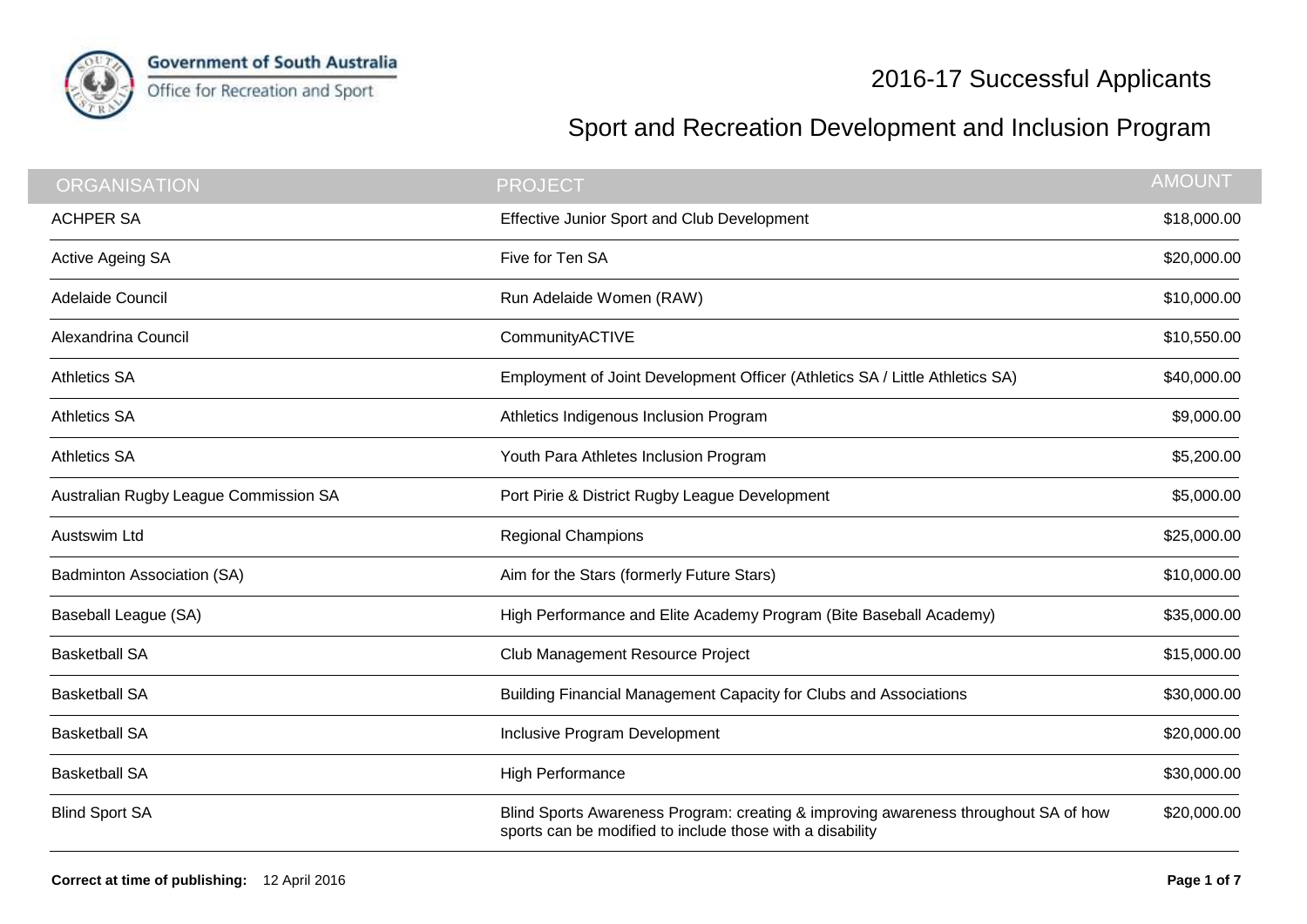

## Sport and Recreation Development and Inclusion Program

| <b>ORGANISATION</b>                   | <b>PROJECT</b>                                                                                                                                   | <b>AMOUNT</b> |
|---------------------------------------|--------------------------------------------------------------------------------------------------------------------------------------------------|---------------|
| <b>ACHPER SA</b>                      | Effective Junior Sport and Club Development                                                                                                      | \$18,000.00   |
| Active Ageing SA                      | Five for Ten SA                                                                                                                                  | \$20,000.00   |
| Adelaide Council                      | Run Adelaide Women (RAW)                                                                                                                         | \$10,000.00   |
| Alexandrina Council                   | CommunityACTIVE                                                                                                                                  | \$10,550.00   |
| <b>Athletics SA</b>                   | Employment of Joint Development Officer (Athletics SA / Little Athletics SA)                                                                     | \$40,000.00   |
| <b>Athletics SA</b>                   | Athletics Indigenous Inclusion Program                                                                                                           | \$9,000.00    |
| <b>Athletics SA</b>                   | Youth Para Athletes Inclusion Program                                                                                                            | \$5,200.00    |
| Australian Rugby League Commission SA | Port Pirie & District Rugby League Development                                                                                                   | \$5,000.00    |
| Austswim Ltd                          | <b>Regional Champions</b>                                                                                                                        | \$25,000.00   |
| Badminton Association (SA)            | Aim for the Stars (formerly Future Stars)                                                                                                        | \$10,000.00   |
| Baseball League (SA)                  | High Performance and Elite Academy Program (Bite Baseball Academy)                                                                               | \$35,000.00   |
| <b>Basketball SA</b>                  | Club Management Resource Project                                                                                                                 | \$15,000.00   |
| <b>Basketball SA</b>                  | Building Financial Management Capacity for Clubs and Associations                                                                                | \$30,000.00   |
| <b>Basketball SA</b>                  | Inclusive Program Development                                                                                                                    | \$20,000.00   |
| <b>Basketball SA</b>                  | <b>High Performance</b>                                                                                                                          | \$30,000.00   |
| <b>Blind Sport SA</b>                 | Blind Sports Awareness Program: creating & improving awareness throughout SA of how<br>sports can be modified to include those with a disability | \$20,000.00   |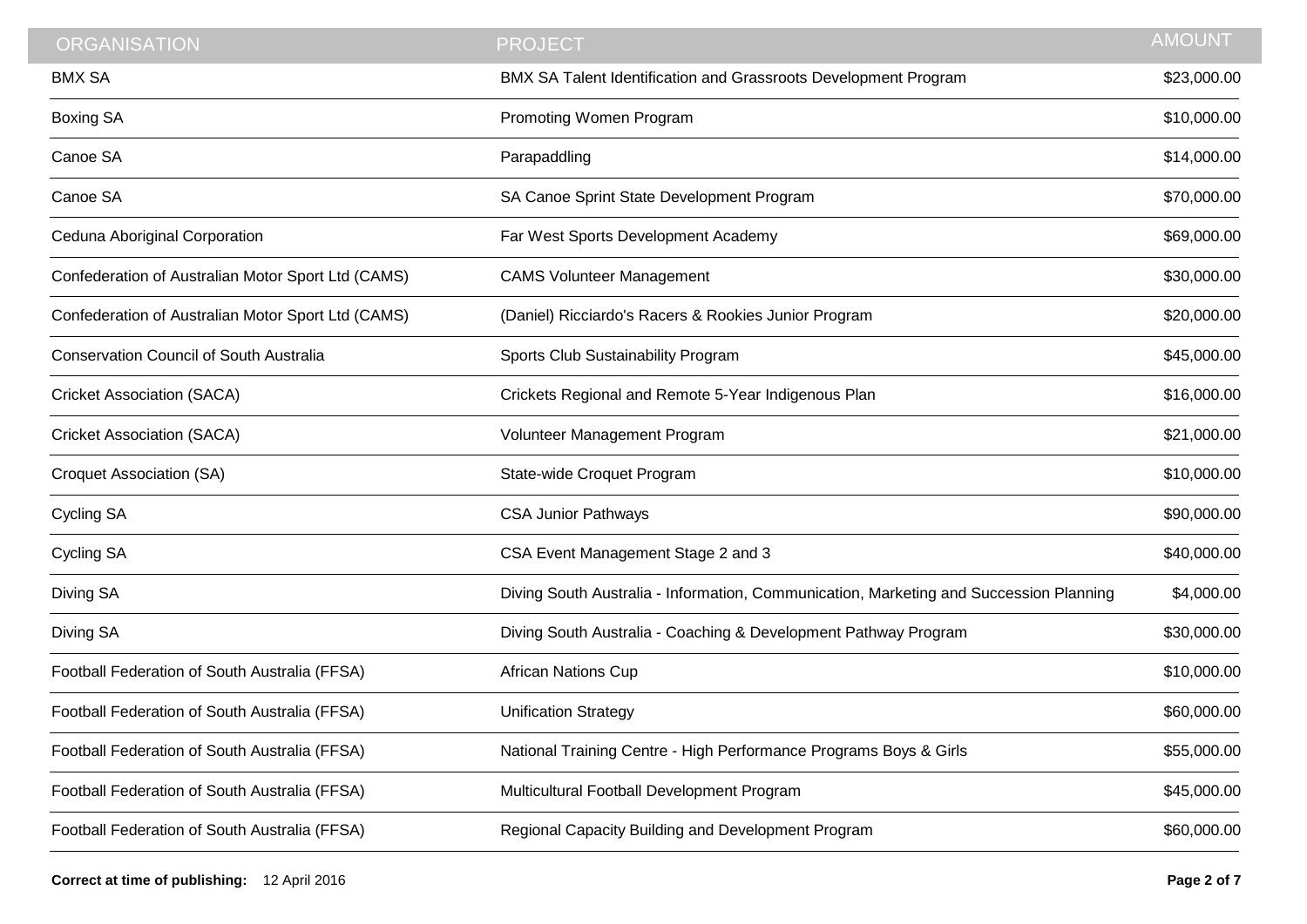| <b>ORGANISATION</b>                                | <b>PROJECT</b>                                                                         | <b>AMOUNT</b> |
|----------------------------------------------------|----------------------------------------------------------------------------------------|---------------|
| <b>BMX SA</b>                                      | BMX SA Talent Identification and Grassroots Development Program                        | \$23,000.00   |
| Boxing SA                                          | Promoting Women Program                                                                | \$10,000.00   |
| Canoe SA                                           | Parapaddling                                                                           | \$14,000.00   |
| Canoe SA                                           | SA Canoe Sprint State Development Program                                              | \$70,000.00   |
| Ceduna Aboriginal Corporation                      | Far West Sports Development Academy                                                    | \$69,000.00   |
| Confederation of Australian Motor Sport Ltd (CAMS) | <b>CAMS Volunteer Management</b>                                                       | \$30,000.00   |
| Confederation of Australian Motor Sport Ltd (CAMS) | (Daniel) Ricciardo's Racers & Rookies Junior Program                                   | \$20,000.00   |
| <b>Conservation Council of South Australia</b>     | Sports Club Sustainability Program                                                     | \$45,000.00   |
| <b>Cricket Association (SACA)</b>                  | Crickets Regional and Remote 5-Year Indigenous Plan                                    | \$16,000.00   |
| <b>Cricket Association (SACA)</b>                  | Volunteer Management Program                                                           | \$21,000.00   |
| <b>Croquet Association (SA)</b>                    | State-wide Croquet Program                                                             | \$10,000.00   |
| <b>Cycling SA</b>                                  | <b>CSA Junior Pathways</b>                                                             | \$90,000.00   |
| <b>Cycling SA</b>                                  | CSA Event Management Stage 2 and 3                                                     | \$40,000.00   |
| Diving SA                                          | Diving South Australia - Information, Communication, Marketing and Succession Planning | \$4,000.00    |
| Diving SA                                          | Diving South Australia - Coaching & Development Pathway Program                        | \$30,000.00   |
| Football Federation of South Australia (FFSA)      | <b>African Nations Cup</b>                                                             | \$10,000.00   |
| Football Federation of South Australia (FFSA)      | <b>Unification Strategy</b>                                                            | \$60,000.00   |
| Football Federation of South Australia (FFSA)      | National Training Centre - High Performance Programs Boys & Girls                      | \$55,000.00   |
| Football Federation of South Australia (FFSA)      | Multicultural Football Development Program                                             | \$45,000.00   |
| Football Federation of South Australia (FFSA)      | Regional Capacity Building and Development Program                                     | \$60,000.00   |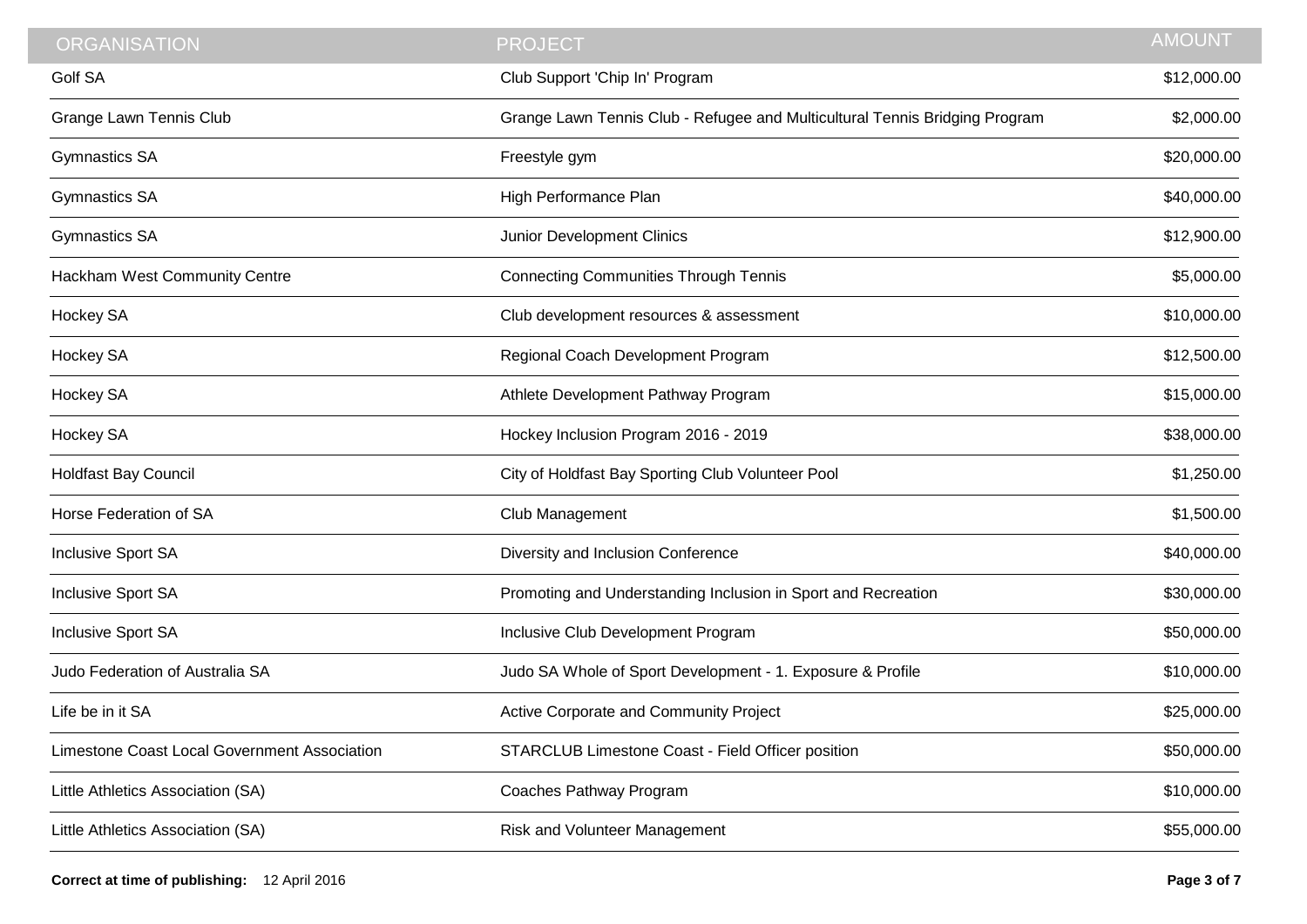| <b>ORGANISATION</b>                          | <b>PROJECT</b>                                                              | <b>AMOUNT</b> |
|----------------------------------------------|-----------------------------------------------------------------------------|---------------|
| <b>Golf SA</b>                               | Club Support 'Chip In' Program                                              | \$12,000.00   |
| <b>Grange Lawn Tennis Club</b>               | Grange Lawn Tennis Club - Refugee and Multicultural Tennis Bridging Program | \$2,000.00    |
| <b>Gymnastics SA</b>                         | Freestyle gym                                                               | \$20,000.00   |
| <b>Gymnastics SA</b>                         | High Performance Plan                                                       | \$40,000.00   |
| <b>Gymnastics SA</b>                         | Junior Development Clinics                                                  | \$12,900.00   |
| Hackham West Community Centre                | <b>Connecting Communities Through Tennis</b>                                | \$5,000.00    |
| Hockey SA                                    | Club development resources & assessment                                     | \$10,000.00   |
| Hockey SA                                    | Regional Coach Development Program                                          | \$12,500.00   |
| Hockey SA                                    | Athlete Development Pathway Program                                         | \$15,000.00   |
| Hockey SA                                    | Hockey Inclusion Program 2016 - 2019                                        | \$38,000.00   |
| <b>Holdfast Bay Council</b>                  | City of Holdfast Bay Sporting Club Volunteer Pool                           | \$1,250.00    |
| Horse Federation of SA                       | Club Management                                                             | \$1,500.00    |
| Inclusive Sport SA                           | Diversity and Inclusion Conference                                          | \$40,000.00   |
| Inclusive Sport SA                           | Promoting and Understanding Inclusion in Sport and Recreation               | \$30,000.00   |
| Inclusive Sport SA                           | Inclusive Club Development Program                                          | \$50,000.00   |
| Judo Federation of Australia SA              | Judo SA Whole of Sport Development - 1. Exposure & Profile                  | \$10,000.00   |
| Life be in it SA                             | Active Corporate and Community Project                                      | \$25,000.00   |
| Limestone Coast Local Government Association | STARCLUB Limestone Coast - Field Officer position                           | \$50,000.00   |
| Little Athletics Association (SA)            | Coaches Pathway Program                                                     | \$10,000.00   |
| Little Athletics Association (SA)            | Risk and Volunteer Management                                               | \$55,000.00   |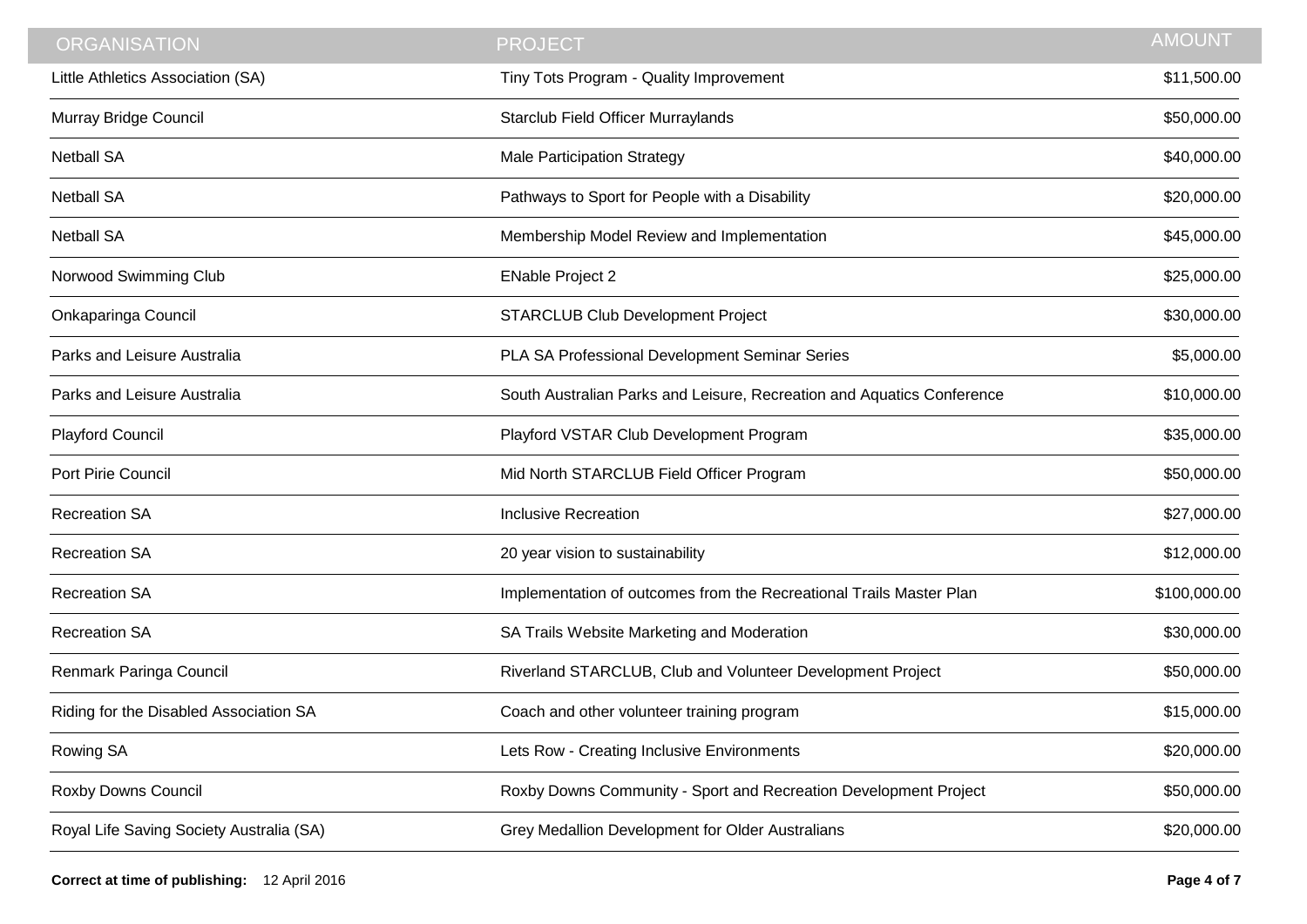| <b>ORGANISATION</b>                      | <b>PROJECT</b>                                                         | <b>AMOUNT</b> |
|------------------------------------------|------------------------------------------------------------------------|---------------|
| Little Athletics Association (SA)        | Tiny Tots Program - Quality Improvement                                | \$11,500.00   |
| Murray Bridge Council                    | Starclub Field Officer Murraylands                                     | \$50,000.00   |
| <b>Netball SA</b>                        | <b>Male Participation Strategy</b>                                     | \$40,000.00   |
| <b>Netball SA</b>                        | Pathways to Sport for People with a Disability                         | \$20,000.00   |
| <b>Netball SA</b>                        | Membership Model Review and Implementation                             | \$45,000.00   |
| Norwood Swimming Club                    | <b>ENable Project 2</b>                                                | \$25,000.00   |
| Onkaparinga Council                      | <b>STARCLUB Club Development Project</b>                               | \$30,000.00   |
| Parks and Leisure Australia              | PLA SA Professional Development Seminar Series                         | \$5,000.00    |
| Parks and Leisure Australia              | South Australian Parks and Leisure, Recreation and Aquatics Conference | \$10,000.00   |
| Playford Council                         | Playford VSTAR Club Development Program                                | \$35,000.00   |
| Port Pirie Council                       | Mid North STARCLUB Field Officer Program                               | \$50,000.00   |
| <b>Recreation SA</b>                     | <b>Inclusive Recreation</b>                                            | \$27,000.00   |
| <b>Recreation SA</b>                     | 20 year vision to sustainability                                       | \$12,000.00   |
| <b>Recreation SA</b>                     | Implementation of outcomes from the Recreational Trails Master Plan    | \$100,000.00  |
| <b>Recreation SA</b>                     | SA Trails Website Marketing and Moderation                             | \$30,000.00   |
| Renmark Paringa Council                  | Riverland STARCLUB, Club and Volunteer Development Project             | \$50,000.00   |
| Riding for the Disabled Association SA   | Coach and other volunteer training program                             | \$15,000.00   |
| Rowing SA                                | Lets Row - Creating Inclusive Environments                             | \$20,000.00   |
| Roxby Downs Council                      | Roxby Downs Community - Sport and Recreation Development Project       | \$50,000.00   |
| Royal Life Saving Society Australia (SA) | Grey Medallion Development for Older Australians                       | \$20,000.00   |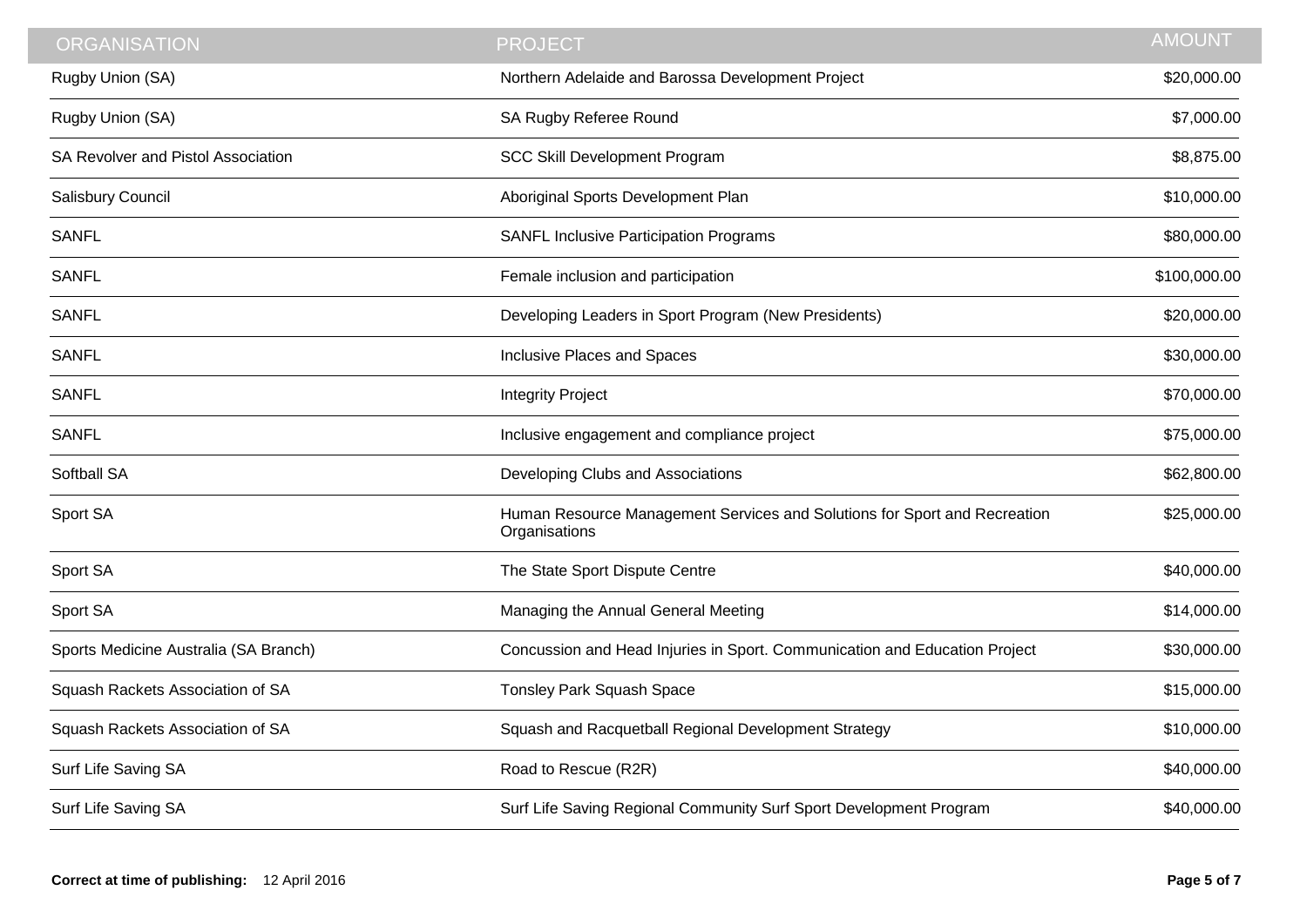| <b>ORGANISATION</b>                   | <b>PROJECT</b>                                                                             | <b>AMOUNT</b> |
|---------------------------------------|--------------------------------------------------------------------------------------------|---------------|
| Rugby Union (SA)                      | Northern Adelaide and Barossa Development Project                                          | \$20,000.00   |
| Rugby Union (SA)                      | SA Rugby Referee Round                                                                     | \$7,000.00    |
| SA Revolver and Pistol Association    | <b>SCC Skill Development Program</b>                                                       | \$8,875.00    |
| Salisbury Council                     | Aboriginal Sports Development Plan                                                         | \$10,000.00   |
| <b>SANFL</b>                          | <b>SANFL Inclusive Participation Programs</b>                                              | \$80,000.00   |
| <b>SANFL</b>                          | Female inclusion and participation                                                         | \$100,000.00  |
| <b>SANFL</b>                          | Developing Leaders in Sport Program (New Presidents)                                       | \$20,000.00   |
| <b>SANFL</b>                          | Inclusive Places and Spaces                                                                | \$30,000.00   |
| <b>SANFL</b>                          | <b>Integrity Project</b>                                                                   | \$70,000.00   |
| <b>SANFL</b>                          | Inclusive engagement and compliance project                                                | \$75,000.00   |
| Softball SA                           | Developing Clubs and Associations                                                          | \$62,800.00   |
| Sport SA                              | Human Resource Management Services and Solutions for Sport and Recreation<br>Organisations | \$25,000.00   |
| Sport SA                              | The State Sport Dispute Centre                                                             | \$40,000.00   |
| Sport SA                              | Managing the Annual General Meeting                                                        | \$14,000.00   |
| Sports Medicine Australia (SA Branch) | Concussion and Head Injuries in Sport. Communication and Education Project                 | \$30,000.00   |
| Squash Rackets Association of SA      | Tonsley Park Squash Space                                                                  | \$15,000.00   |
| Squash Rackets Association of SA      | Squash and Racquetball Regional Development Strategy                                       | \$10,000.00   |
| Surf Life Saving SA                   | Road to Rescue (R2R)                                                                       | \$40,000.00   |
| Surf Life Saving SA                   | Surf Life Saving Regional Community Surf Sport Development Program                         | \$40,000.00   |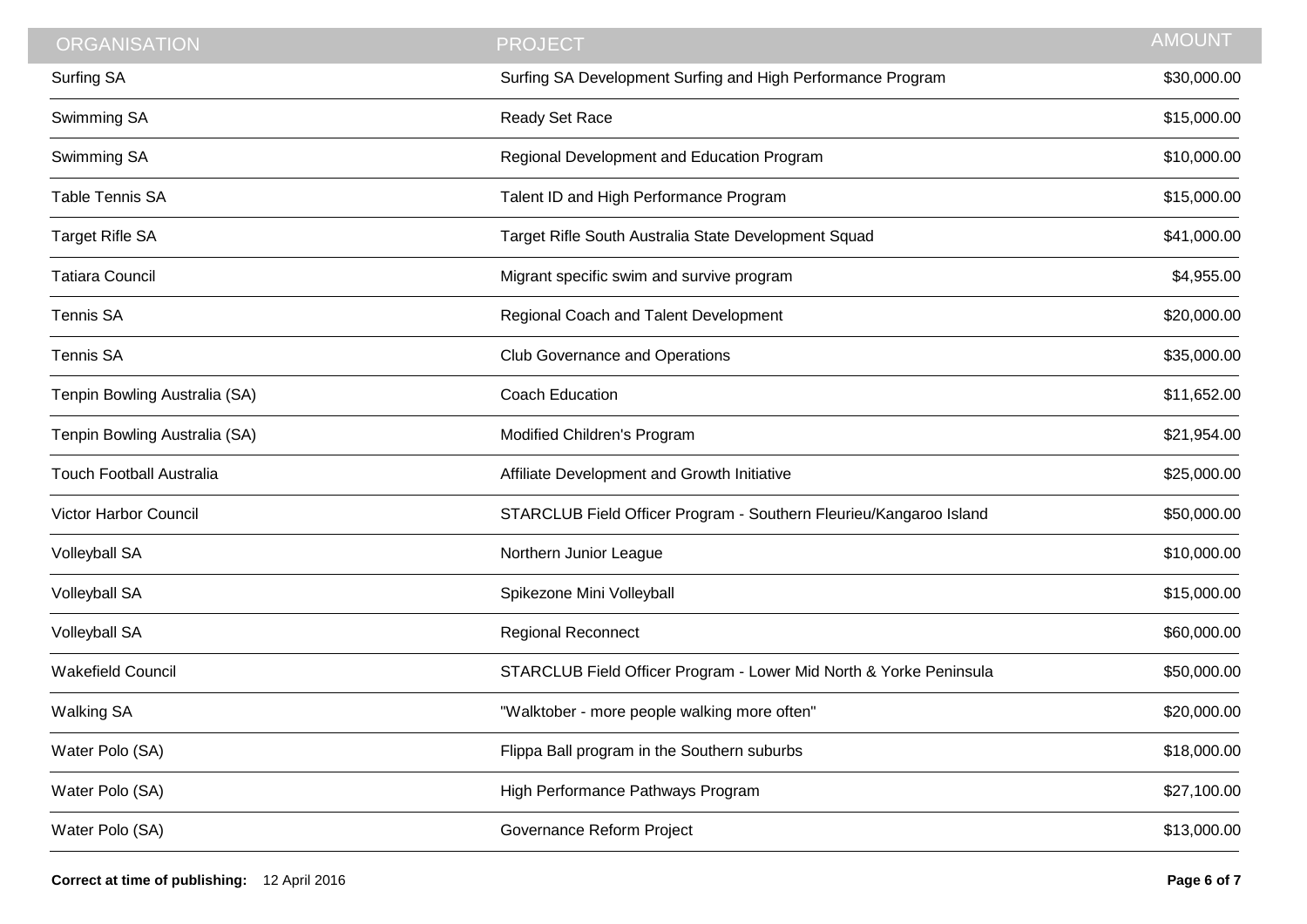| <b>ORGANISATION</b>             | <b>PROJECT</b>                                                     | <b>AMOUNT</b> |
|---------------------------------|--------------------------------------------------------------------|---------------|
| <b>Surfing SA</b>               | Surfing SA Development Surfing and High Performance Program        | \$30,000.00   |
| Swimming SA                     | Ready Set Race                                                     | \$15,000.00   |
| Swimming SA                     | Regional Development and Education Program                         | \$10,000.00   |
| <b>Table Tennis SA</b>          | Talent ID and High Performance Program                             | \$15,000.00   |
| <b>Target Rifle SA</b>          | Target Rifle South Australia State Development Squad               | \$41,000.00   |
| <b>Tatiara Council</b>          | Migrant specific swim and survive program                          | \$4,955.00    |
| <b>Tennis SA</b>                | Regional Coach and Talent Development                              | \$20,000.00   |
| <b>Tennis SA</b>                | <b>Club Governance and Operations</b>                              | \$35,000.00   |
| Tenpin Bowling Australia (SA)   | <b>Coach Education</b>                                             | \$11,652.00   |
| Tenpin Bowling Australia (SA)   | Modified Children's Program                                        | \$21,954.00   |
| <b>Touch Football Australia</b> | Affiliate Development and Growth Initiative                        | \$25,000.00   |
| Victor Harbor Council           | STARCLUB Field Officer Program - Southern Fleurieu/Kangaroo Island | \$50,000.00   |
| <b>Volleyball SA</b>            | Northern Junior League                                             | \$10,000.00   |
| <b>Volleyball SA</b>            | Spikezone Mini Volleyball                                          | \$15,000.00   |
| <b>Volleyball SA</b>            | <b>Regional Reconnect</b>                                          | \$60,000.00   |
| <b>Wakefield Council</b>        | STARCLUB Field Officer Program - Lower Mid North & Yorke Peninsula | \$50,000.00   |
| <b>Walking SA</b>               | "Walktober - more people walking more often"                       | \$20,000.00   |
| Water Polo (SA)                 | Flippa Ball program in the Southern suburbs                        | \$18,000.00   |
| Water Polo (SA)                 | High Performance Pathways Program                                  | \$27,100.00   |
| Water Polo (SA)                 | Governance Reform Project                                          | \$13,000.00   |